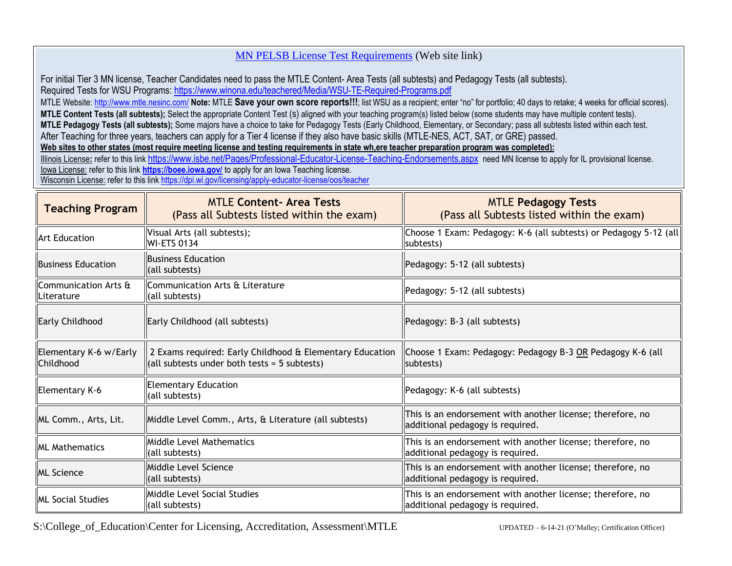## [MN PELSB License Test Requirements](https://mn.gov/pelsb/assets/Minnesota%20General%20Education%20Teacher%20Licensure%20Testing%20Information%20Tiers%200304_tcm1113-418970.pdf) (Web site link)

For initial Tier 3 MN license, Teacher Candidates need to pass the MTLE Content- Area Tests (all subtests) and Pedagogy Tests (all subtests). Required Tests for WSU Programs: <https://www.winona.edu/teachered/Media/WSU-TE-Required-Programs.pdf>

MTLE Website:<http://www.mtle.nesinc.com/> Note: MTLE Save your own score reports!!!; list WSU as a recipient; enter "no" for portfolio; 40 days to retake; 4 weeks for official scores). **MTLE Content Tests (all subtests);** Select the appropriate Content Test (s) aligned with your teaching program(s) listed below (some students may have multiple content tests). **MTLE Pedagogy Tests (all subtests);** Some majors have a choice to take for Pedagogy Tests (Early Childhood, Elementary, or Secondary; pass all subtests listed within each test. After Teaching for three years, teachers can apply for a Tier 4 license if they also have basic skills (MTLE-NES, ACT, SAT, or GRE) passed. **Web sites to other states (most require meeting license and testing requirements in state wh,ere teacher preparation program was completed):**

Illinois License: refer to this link <https://www.isbe.net/Pages/Professional-Educator-License-Teaching-Endorsements.aspx> need MN license to apply for IL provisional license. Iowa License: refer to this link **<https://boee.iowa.gov/>** to apply for an Iowa Teaching license. Wisconsin License: refer to this link <https://dpi.wi.gov/licensing/apply-educator-license/oos/teacher>

| <b>Teaching Program</b>                                | <b>MTLE Content- Area Tests</b><br>(Pass all Subtests listed within the exam)                              | <b>MTLE Pedagogy Tests</b><br>(Pass all Subtests listed within the exam)                       |
|--------------------------------------------------------|------------------------------------------------------------------------------------------------------------|------------------------------------------------------------------------------------------------|
| <b>Art Education</b>                                   | Visual Arts (all subtests);<br><b>WI-ETS 0134</b>                                                          | Choose 1 Exam: Pedagogy: K-6 (all subtests) or Pedagogy 5-12 (all<br>subtests)                 |
| <b>IBusiness Education</b>                             | <b>Business Education</b><br>(all subtests)                                                                | Pedagogy: 5-12 (all subtests)                                                                  |
| $\,$ Communication Arts $\rm \tilde{a}$<br>lLiterature | Communication Arts & Literature<br>(all subtests)                                                          | Pedagogy: 5-12 (all subtests)                                                                  |
| Early Childhood                                        | Early Childhood (all subtests)                                                                             | Pedagogy: B-3 (all subtests)                                                                   |
| Elementary K-6 w/Early<br>llChildhood                  | 2 Exams required: Early Childhood & Elementary Education<br>(all subtests under both tests = $5$ subtests) | Choose 1 Exam: Pedagogy: Pedagogy B-3 OR Pedagogy K-6 (all<br>subtests)                        |
| Elementary K-6                                         | <b>Elementary Education</b><br>(all subtests)                                                              | Pedagogy: K-6 (all subtests)                                                                   |
| ML Comm., Arts, Lit.                                   | Middle Level Comm., Arts, & Literature (all subtests)                                                      | This is an endorsement with another license; therefore, no<br>additional pedagogy is required. |
| <b>IML Mathematics</b>                                 | Middle Level Mathematics<br>(all subtests)                                                                 | This is an endorsement with another license; therefore, no<br>additional pedagogy is required. |
| <b>ML Science</b>                                      | Middle Level Science<br>(all subtests)                                                                     | This is an endorsement with another license; therefore, no<br>additional pedagogy is required. |
| <b>ML Social Studies</b>                               | Middle Level Social Studies<br>(all subtests)                                                              | This is an endorsement with another license; therefore, no<br>additional pedagogy is required. |

S:\College\_of\_Education\Center for Licensing, Accreditation, Assessment\MTLE UPDATED – 6-14-21 (O'Malley; Certification Officer)